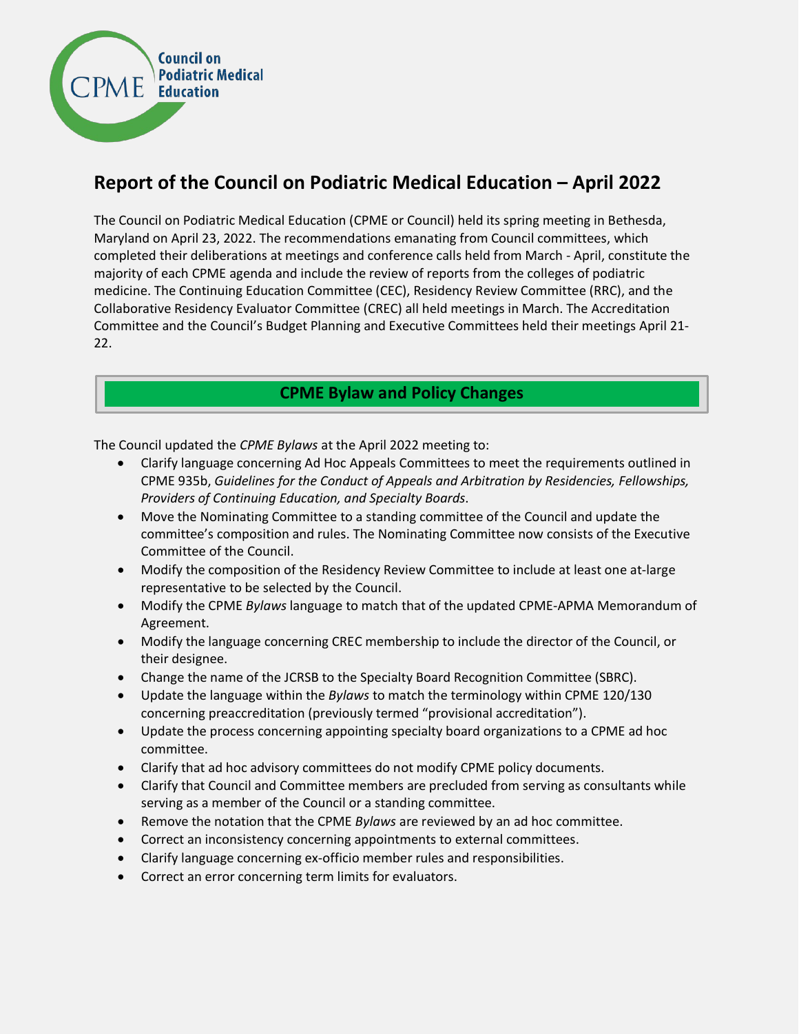

# **Report of the Council on Podiatric Medical Education – April 2022**

The Council on Podiatric Medical Education (CPME or Council) held its spring meeting in Bethesda, Maryland on April 23, 2022. The recommendations emanating from Council committees, which completed their deliberations at meetings and conference calls held from March - April, constitute the majority of each CPME agenda and include the review of reports from the colleges of podiatric medicine. The Continuing Education Committee (CEC), Residency Review Committee (RRC), and the Collaborative Residency Evaluator Committee (CREC) all held meetings in March. The Accreditation Committee and the Council's Budget Planning and Executive Committees held their meetings April 21- 22.

# **CPME Bylaw and Policy Changes**

The Council updated the *CPME Bylaws* at the April 2022 meeting to:

- Clarify language concerning Ad Hoc Appeals Committees to meet the requirements outlined in CPME 935b, *Guidelines for the Conduct of Appeals and Arbitration by Residencies, Fellowships, Providers of Continuing Education, and Specialty Boards*.
- Move the Nominating Committee to a standing committee of the Council and update the committee's composition and rules. The Nominating Committee now consists of the Executive Committee of the Council.
- Modify the composition of the Residency Review Committee to include at least one at-large representative to be selected by the Council.
- Modify the CPME *Bylaws* language to match that of the updated CPME-APMA Memorandum of Agreement.
- Modify the language concerning CREC membership to include the director of the Council, or their designee.
- Change the name of the JCRSB to the Specialty Board Recognition Committee (SBRC).
- Update the language within the *Bylaws* to match the terminology within CPME 120/130 concerning preaccreditation (previously termed "provisional accreditation").
- Update the process concerning appointing specialty board organizations to a CPME ad hoc committee.
- Clarify that ad hoc advisory committees do not modify CPME policy documents.
- Clarify that Council and Committee members are precluded from serving as consultants while serving as a member of the Council or a standing committee.
- Remove the notation that the CPME *Bylaws* are reviewed by an ad hoc committee.
- Correct an inconsistency concerning appointments to external committees.
- Clarify language concerning ex-officio member rules and responsibilities.
- Correct an error concerning term limits for evaluators.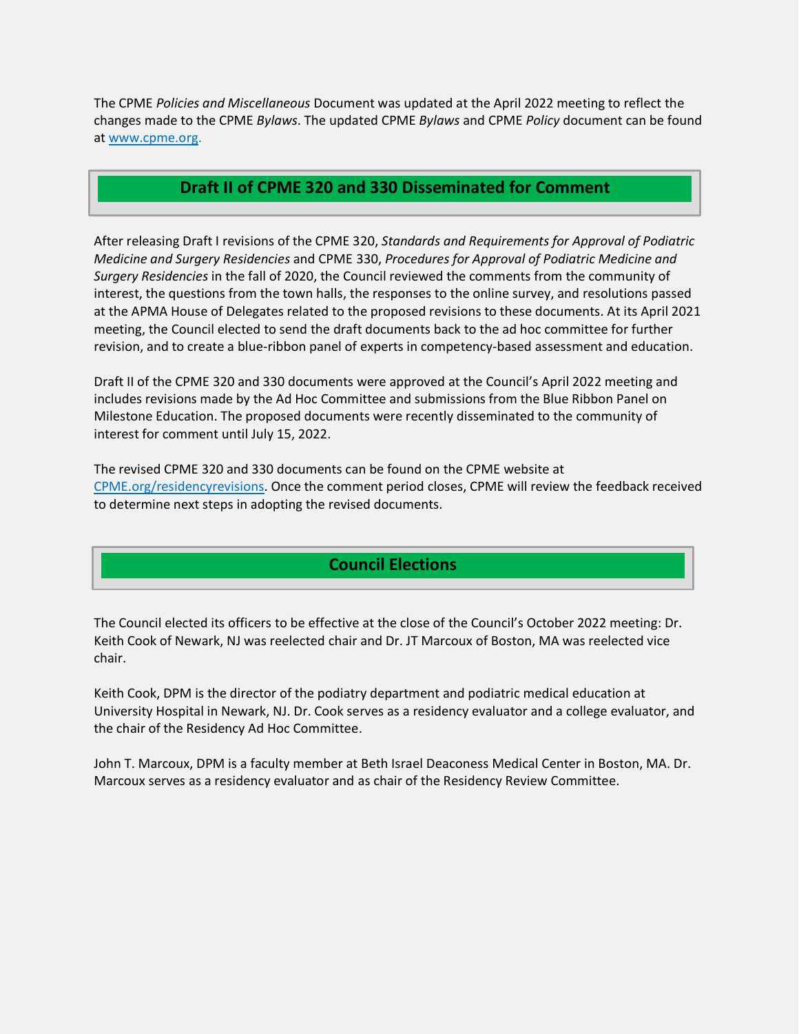The CPME *Policies and Miscellaneous* Document was updated at the April 2022 meeting to reflect the changes made to the CPME *Bylaws*. The updated CPME *Bylaws* and CPME *Policy* document can be found at [www.cpme.org.](http://www.cpme.org/)

### **Draft II of CPME 320 and 330 Disseminated for Comment**

After releasing Draft I revisions of the CPME 320, *Standards and Requirements for Approval of Podiatric Medicine and Surgery Residencies* and CPME 330, *Procedures for Approval of Podiatric Medicine and Surgery Residencies* in the fall of 2020, the Council reviewed the comments from the community of interest, the questions from the town halls, the responses to the online survey, and resolutions passed at the APMA House of Delegates related to the proposed revisions to these documents. At its April 2021 meeting, the Council elected to send the draft documents back to the ad hoc committee for further revision, and to create a blue-ribbon panel of experts in competency-based assessment and education.

Draft II of the CPME 320 and 330 documents were approved at the Council's April 2022 meeting and includes revisions made by the Ad Hoc Committee and submissions from the Blue Ribbon Panel on Milestone Education. The proposed documents were recently disseminated to the community of interest for comment until July 15, 2022.

The revised CPME 320 and 330 documents can be found on the CPME website at [CPME.org/residencyrevisions.](https://www.cpme.org/residencies/content.cfm?ItemNumber=49968&navItemNumber=15094) Once the comment period closes, CPME will review the feedback received to determine next steps in adopting the revised documents.

### **Council Elections**

The Council elected its officers to be effective at the close of the Council's October 2022 meeting: Dr. Keith Cook of Newark, NJ was reelected chair and Dr. JT Marcoux of Boston, MA was reelected vice chair.

Keith Cook, DPM is the director of the podiatry department and podiatric medical education at University Hospital in Newark, NJ. Dr. Cook serves as a residency evaluator and a college evaluator, and the chair of the Residency Ad Hoc Committee.

John T. Marcoux, DPM is a faculty member at Beth Israel Deaconess Medical Center in Boston, MA. Dr. Marcoux serves as a residency evaluator and as chair of the Residency Review Committee.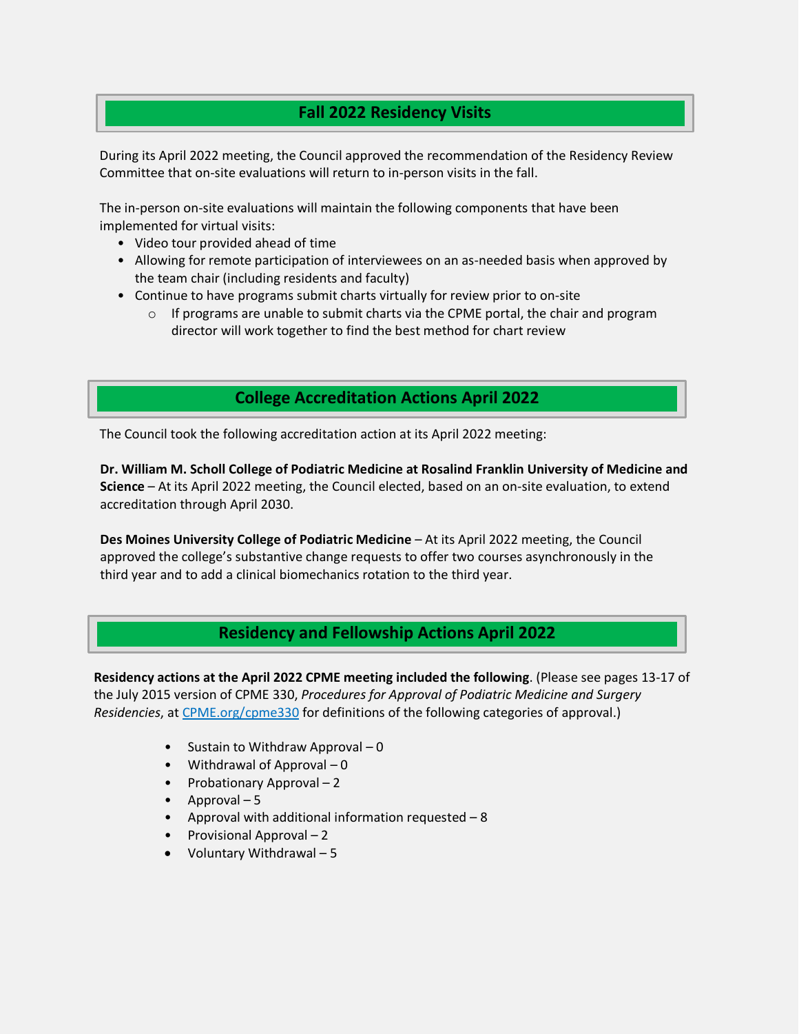# **Fall 2022 Residency Visits**

During its April 2022 meeting, the Council approved the recommendation of the Residency Review Committee that on-site evaluations will return to in-person visits in the fall.

The in-person on-site evaluations will maintain the following components that have been implemented for virtual visits:

- Video tour provided ahead of time
- Allowing for remote participation of interviewees on an as-needed basis when approved by the team chair (including residents and faculty)
- Continue to have programs submit charts virtually for review prior to on-site
	- $\circ$  If programs are unable to submit charts via the CPME portal, the chair and program director will work together to find the best method for chart review

## **College Accreditation Actions April 2022**

The Council took the following accreditation action at its April 2022 meeting:

**Dr. William M. Scholl College of Podiatric Medicine at Rosalind Franklin University of Medicine and Science** – At its April 2022 meeting, the Council elected, based on an on-site evaluation, to extend accreditation through April 2030.

**Des Moines University College of Podiatric Medicine** - At its April 2022 meeting, the Council approved the college's substantive change requests to offer two courses asynchronously in the third year and to add a clinical biomechanics rotation to the third year.

### **Residency and Fellowship Actions April 2022**

**Residency actions at the April 2022 CPME meeting included the following**. (Please see pages 13-17 of the July 2015 version of CPME 330, *Procedures for Approval of Podiatric Medicine and Surgery Residencies*, at [CPME.org/cpme330](https://www.cpme.org/files/CPME/CPME_330_Procedures_for_Approval_of_Podiatric_Medicine_and_Surgery_Residencies.pdf) for definitions of the following categories of approval.)

- Sustain to Withdraw Approval 0
- Withdrawal of Approval 0
- Probationary Approval 2
- Approval 5
- Approval with additional information requested 8
- Provisional Approval 2
- Voluntary Withdrawal 5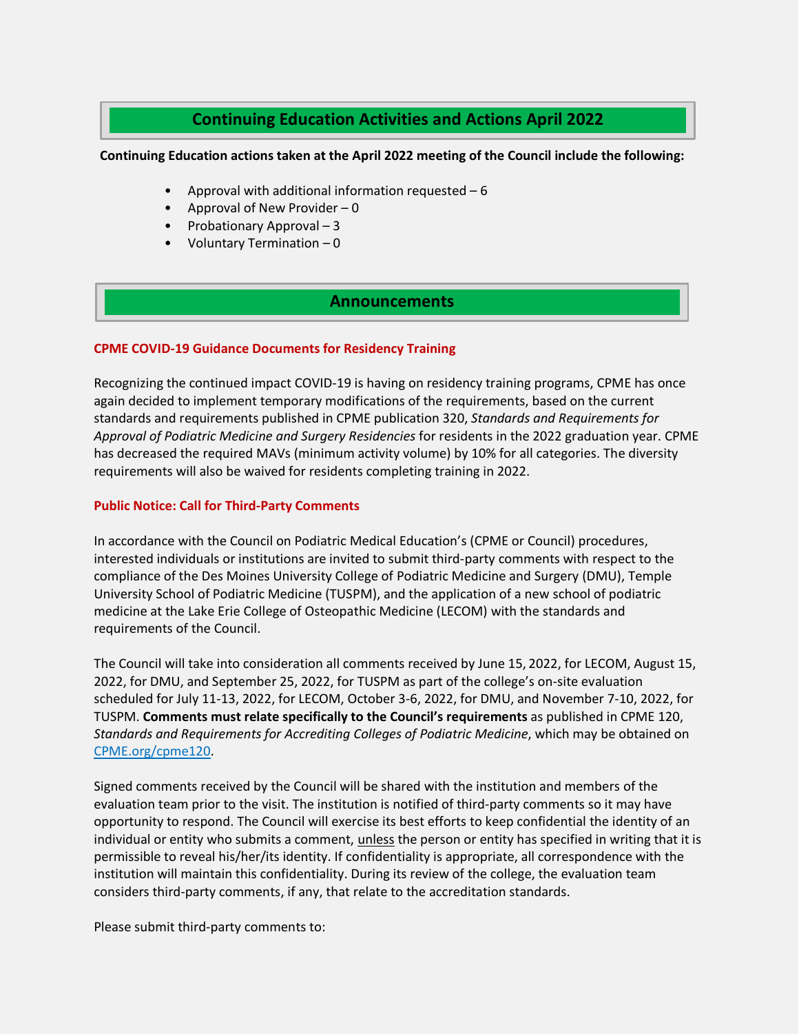### **Continuing Education Activities and Actions April 2022**

#### **Continuing Education actions taken at the April 2022 meeting of the Council include the following:**

- Approval with additional information requested  $-6$
- Approval of New Provider  $-0$
- Probationary Approval 3
- Voluntary Termination  $-0$

#### **Announcements**

#### **CPME COVID-19 Guidance Documents for Residency Training**

Recognizing the continued impact COVID-19 is having on residency training programs, CPME has once again decided to implement temporary modifications of the requirements, based on the current standards and requirements published in CPME publication 320, *Standards and Requirements for Approval of Podiatric Medicine and Surgery Residencies* for residents in the 2022 graduation year. CPME has decreased the required MAVs (minimum activity volume) by 10% for all categories. The diversity requirements will also be waived for residents completing training in 2022.

#### **Public Notice: Call for Third-Party Comments**

In accordance with the Council on Podiatric Medical Education's (CPME or Council) procedures, interested individuals or institutions are invited to submit third-party comments with respect to the compliance of the Des Moines University College of Podiatric Medicine and Surgery (DMU), Temple University School of Podiatric Medicine (TUSPM), and the application of a new school of podiatric medicine at the Lake Erie College of Osteopathic Medicine (LECOM) with the standards and requirements of the Council.

The Council will take into consideration all comments received by June 15, 2022, for LECOM, August 15, 2022, for DMU, and September 25, 2022, for TUSPM as part of the college's on-site evaluation scheduled for July 11-13, 2022, for LECOM, October 3-6, 2022, for DMU, and November 7-10, 2022, for TUSPM. **Comments must relate specifically to the Council's requirements** as published in CPME 120, *Standards and Requirements for Accrediting Colleges of Podiatric Medicine*, which may be obtained on [CPME.org/cpme120.](https://www.cpme.org/files/CPME/2021-10_CPME120_Standards_and_Requirements_for_Accrediting_Colleges_of_Podiatric_%20Medicine.pdf)

Signed comments received by the Council will be shared with the institution and members of the evaluation team prior to the visit. The institution is notified of third-party comments so it may have opportunity to respond. The Council will exercise its best efforts to keep confidential the identity of an individual or entity who submits a comment, *unless* the person or entity has specified in writing that it is permissible to reveal his/her/its identity. If confidentiality is appropriate, all correspondence with the institution will maintain this confidentiality. During its review of the college, the evaluation team considers third-party comments, if any, that relate to the accreditation standards.

Please submit third-party comments to: